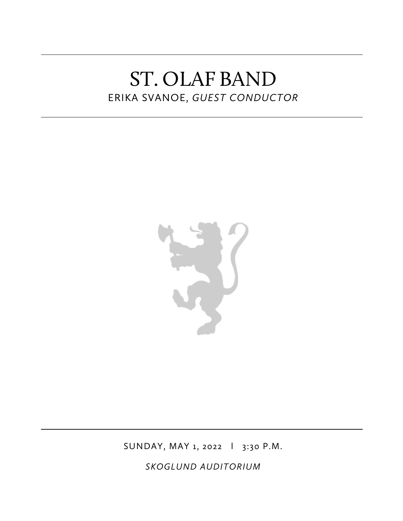# ST. OLAF BAND ERIKA SVANOE, *GUEST CONDUCTOR*



SUNDAY, MAY 1, 2022 l 3:30 P.M.

*SKOGLUND AUDITORIUM*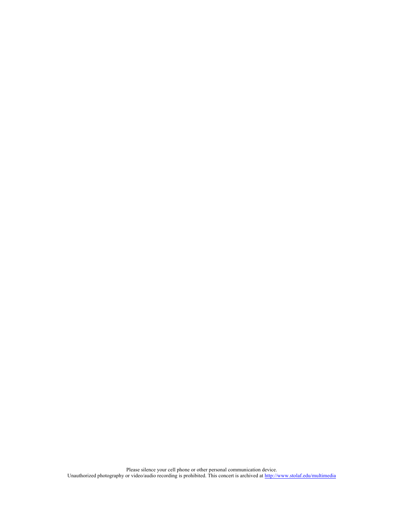Please silence your cell phone or other personal communication device. Unauthorized photography or video/audio recording is prohibited. This concert is archived at http://www.stolaf.edu/multimedia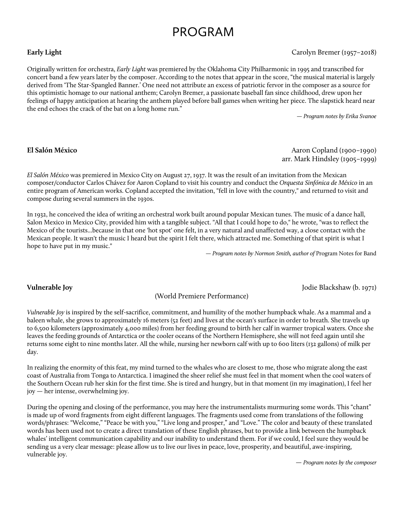## PROGRAM

### **Early Light** Carolyn Bremer (1957–2018)

Originally written for orchestra, *Early Light* was premiered by the Oklahoma City Philharmonic in 1995 and transcribed for concert band a few years later by the composer. According to the notes that appear in the score, "the musical material is largely derived from 'The Star-Spangled Banner.' One need not attribute an excess of patriotic fervor in the composer as a source for this optimistic homage to our national anthem; Carolyn Bremer, a passionate baseball fan since childhood, drew upon her feelings of happy anticipation at hearing the anthem played before ball games when writing her piece. The slapstick heard near the end echoes the crack of the bat on a long home run."

— *Program notes by Erika Svanoe*

## **El Salón México** Aaron Copland (1900–1990) arr. Mark Hindsley (1905–1999)

*El Salón México* was premiered in Mexico City on August 27, 1937. It was the result of an invitation from the Mexican composer/conductor Carlos Chávez for Aaron Copland to visit his country and conduct the *Orquesta Sinfónica de México* in an entire program of American works. Copland accepted the invitation, "fell in love with the country," and returned to visit and compose during several summers in the 1930s.

In 1932, he conceived the idea of writing an orchestral work built around popular Mexican tunes. The music of a dance hall, Salon Mexico in Mexico City, provided him with a tangible subject. "All that I could hope to do," he wrote, "was to reflect the Mexico of the tourists...because in that one 'hot spot' one felt, in a very natural and unaffected way, a close contact with the Mexican people. It wasn't the music I heard but the spirit I felt there, which attracted me. Something of that spirit is what I hope to have put in my music."

— *Program notes by Normon Smith, author of* Program Notes for Band

## **Vulnerable Joy** Jodie Blackshaw (b. 1971)

(World Premiere Performance)

*Vulnerable Joy* is inspired by the self-sacrifice, commitment, and humility of the mother humpback whale. As a mammal and a baleen whale, she grows to approximately 16 meters (52 feet) and lives at the ocean's surface in order to breath. She travels up to 6,500 kilometers (approximately 4,000 miles) from her feeding ground to birth her calf in warmer tropical waters. Once she leaves the feeding grounds of Antarctica or the cooler oceans of the Northern Hemisphere, she will not feed again until she returns some eight to nine months later. All the while, nursing her newborn calf with up to 600 liters (132 gallons) of milk per day.

In realizing the enormity of this feat, my mind turned to the whales who are closest to me, those who migrate along the east coast of Australia from Tonga to Antarctica. I imagined the sheer relief she must feel in that moment when the cool waters of the Southern Ocean rub her skin for the first time. She is tired and hungry, but in that moment (in my imagination), I feel her joy — her intense, overwhelming joy.

During the opening and closing of the performance, you may here the instrumentalists murmuring some words. This "chant" is made up of word fragments from eight different languages. The fragments used come from translations of the following words/phrases: "Welcome," "Peace be with you," "Live long and prosper," and "Love." The color and beauty of these translated words has been used not to create a direct translation of these English phrases, but to provide a link between the humpback whales' intelligent communication capability and our inability to understand them. For if we could, I feel sure they would be sending us a very clear message: please allow us to live our lives in peace, love, prosperity, and beautiful, awe-inspiring, vulnerable joy.

— *Program notes by the composer*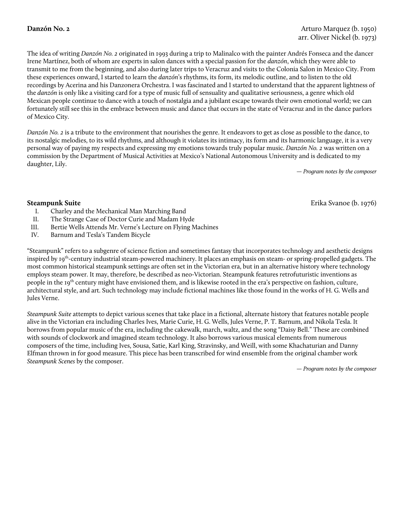The idea of writing *Danzón No. 2* originated in 1993 during a trip to Malinalco with the painter Andrés Fonseca and the dancer Irene Martínez, both of whom are experts in salon dances with a special passion for the *danzón*, which they were able to transmit to me from the beginning, and also during later trips to Veracruz and visits to the Colonia Salon in Mexico City. From these experiences onward, I started to learn the *danzón*'s rhythms, its form, its melodic outline, and to listen to the old recordings by Acerina and his Danzonera Orchestra. I was fascinated and I started to understand that the apparent lightness of the *danzón* is only like a visiting card for a type of music full of sensuality and qualitative seriousness, a genre which old Mexican people continue to dance with a touch of nostalgia and a jubilant escape towards their own emotional world; we can fortunately still see this in the embrace between music and dance that occurs in the state of Veracruz and in the dance parlors of Mexico City.

*Danzón No. 2* is a tribute to the environment that nourishes the genre. It endeavors to get as close as possible to the dance, to its nostalgic melodies, to its wild rhythms, and although it violates its intimacy, its form and its harmonic language, it is a very personal way of paying my respects and expressing my emotions towards truly popular music. *Danzón No. 2* was written on a commission by the Department of Musical Activities at Mexico's National Autonomous University and is dedicated to my daughter, Lily.

— *Program notes by the composer*

**Steampunk Suite** Erika Svanoe (b. 1976)

- I. Charley and the Mechanical Man Marching Band
- II. The Strange Case of Doctor Curie and Madam Hyde
- III. Bertie Wells Attends Mr. Verne's Lecture on Flying Machines
- IV. Barnum and Tesla's Tandem Bicycle

"Steampunk" refers to a subgenre of science fiction and sometimes fantasy that incorporates technology and aesthetic designs inspired by 19<sup>th</sup>-century industrial steam-powered machinery. It places an emphasis on steam- or spring-propelled gadgets. The most common historical steampunk settings are often set in the Victorian era, but in an alternative history where technology employs steam power. It may, therefore, be described as neo-Victorian. Steampunk features retrofuturistic inventions as people in the 19<sup>th</sup> century might have envisioned them, and is likewise rooted in the era's perspective on fashion, culture, architectural style, and art. Such technology may include fictional machines like those found in the works of H. G. Wells and Jules Verne.

*Steampunk Suite* attempts to depict various scenes that take place in a fictional, alternate history that features notable people alive in the Victorian era including Charles Ives, Marie Curie, H. G. Wells, Jules Verne, P. T. Barnum, and Nikola Tesla. It borrows from popular music of the era, including the cakewalk, march, waltz, and the song "Daisy Bell." These are combined with sounds of clockwork and imagined steam technology. It also borrows various musical elements from numerous composers of the time, including Ives, Sousa, Satie, Karl King, Stravinsky, and Weill, with some Khachaturian and Danny Elfman thrown in for good measure. This piece has been transcribed for wind ensemble from the original chamber work *Steampunk Scenes* by the composer.

— *Program notes by the composer*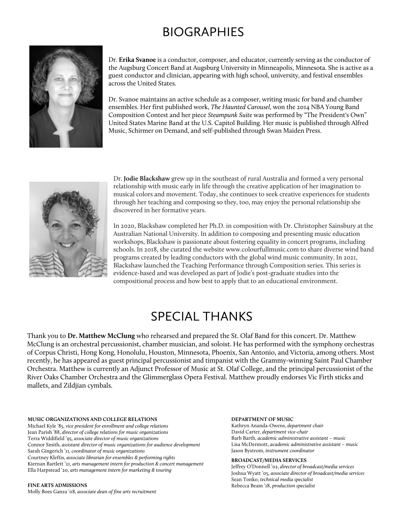# BIOGRAPHIES



Dr. **Erika Svanoe** is a conductor, composer, and educator, currently serving as the conductor of the Augsburg Concert Band at Augsburg University in Minneapolis, Minnesota. She is active as a guest conductor and clinician, appearing with high school, university, and festival ensembles across the United States.

Dr. Svanoe maintains an active schedule as a composer, writing music for band and chamber ensembles. Her first published work, *The Haunted Carousel*, won the 2014 NBA Young Band Composition Contest and her piece *Steampunk Suite* was performed by "The President's Own" United States Marine Band at the U.S. Capitol Building. Her music is published through Alfred Music, Schirmer on Demand, and self-published through Swan Maiden Press.



Dr. **Jodie Blackshaw** grew up in the southeast of rural Australia and formed a very personal relationship with music early in life through the creative application of her imagination to musical colors and movement. Today, she continues to seek creative experiences for students through her teaching and composing so they, too, may enjoy the personal relationship she discovered in her formative years.

In 2020, Blackshaw completed her Ph.D. in composition with Dr. Christopher Sainsbury at the Australian National University. In addition to composing and presenting music education workshops, Blackshaw is passionate about fostering equality in concert programs, including schools. In 2018, she curated the website www.colourfullmusic.com to share diverse wind band programs created by leading conductors with the global wind music community. In 2021, Blackshaw launched the Teaching Performance through Composition series. This series is evidence-based and was developed as part of Jodie's post-graduate studies into the compositional process and how best to apply that to an educational environment.

# SPECIAL THANKS

Thank you to **Dr. Matthew McClung** who rehearsed and prepared the St. Olaf Band for this concert. Dr. Matthew McClung is an orchestral percussionist, chamber musician, and soloist. He has performed with the symphony orchestras of Corpus Christi, Hong Kong, Honolulu, Houston, Minnesota, Phoenix, San Antonio, and Victoria, among others. Most recently, he has appeared as guest principal percussionist and timpanist with the Grammy-winning Saint Paul Chamber Orchestra. Matthew is currently an Adjunct Professor of Music at St. Olaf College, and the principal percussionist of the River Oaks Chamber Orchestra and the Glimmerglass Opera Festival. Matthew proudly endorses Vic Firth sticks and mallets, and Zildjian cymbals.

#### **MUSIC ORGANIZATIONS AND COLLEGE RELATIONS**

Michael Kyle '85, *vice president for enrollment and college relations* Jean Parish '88, *director of college relations for music organizations*  Terra Widdifield '95, *associate director of music organizations*  Connor Smith, *assistant director of music organizations for audience development* Sarah Gingerich '11*, coordinator of music organizations* Courtney Kleftis, *associate librarian for ensembles & performing rights* Kiernan Bartlett '21, *arts management intern for production & concert management* Ella Harpstead '20, *arts management intern for marketing & touring*

#### **FINE ARTS ADMISSIONS**

Molly Boes Ganza '08, *associate dean of fine arts recruitment*

#### **DEPARTMENT OF MUSIC**

Kathryn Ananda-Owens, *department chair* David Carter, *department vice-chair* Barb Barth, *academic administrative assistant – music* Lisa McDermott, *academic administrative assistant – music*  Jason Bystrom, *instrument coordinator*

#### **BROADCAST/MEDIA SERVICES**

Jeffrey O'Donnell '02, *director of broadcast/media services* Joshua Wyatt '05, *associate director of broadcast/media services* Sean Tonko, *technical media specialist* Rebecca Beam '18, *production specialist*